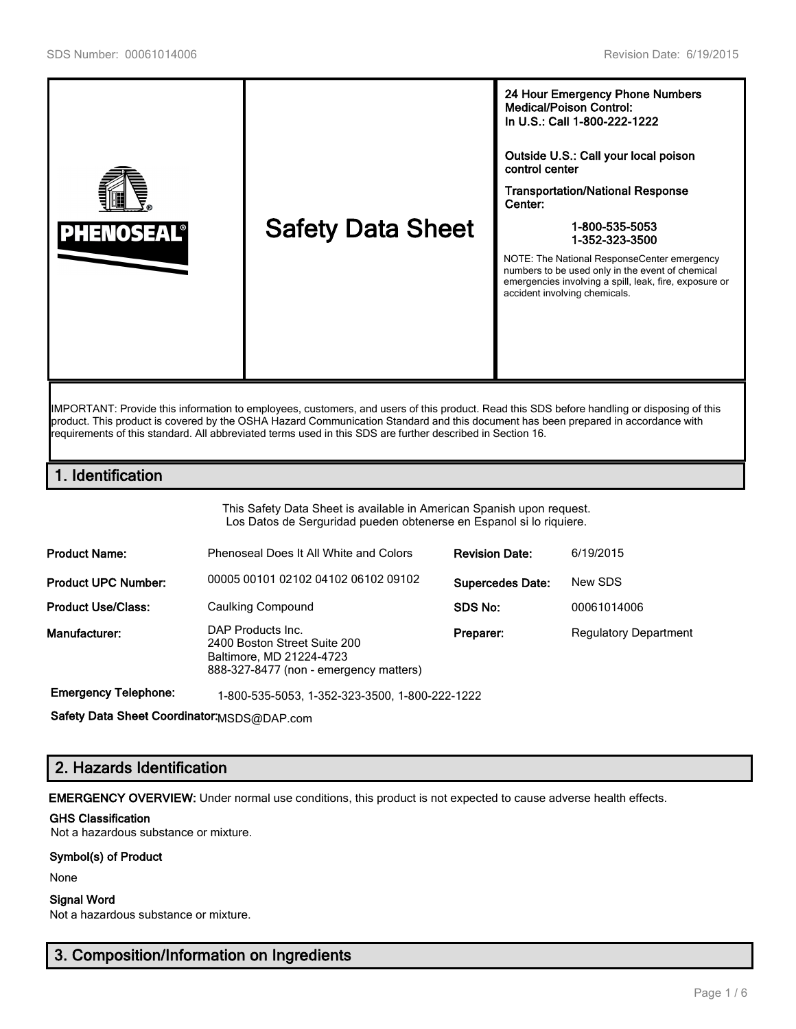

IMPORTANT: Provide this information to employees, customers, and users of this product. Read this SDS before handling or disposing of this product. This product is covered by the OSHA Hazard Communication Standard and this document has been prepared in accordance with requirements of this standard. All abbreviated terms used in this SDS are further described in Section 16.

# 1. Identification

This Safety Data Sheet is available in American Spanish upon request. Los Datos de Serguridad pueden obtenerse en Espanol si lo riquiere.

| <b>Product Name:</b>       | Phenoseal Does It All White and Colors                                                                                  | <b>Revision Date:</b>   | 6/19/2015                    |
|----------------------------|-------------------------------------------------------------------------------------------------------------------------|-------------------------|------------------------------|
| <b>Product UPC Number:</b> | 00005 00101 02102 04102 06102 09102                                                                                     | <b>Supercedes Date:</b> | New SDS                      |
| <b>Product Use/Class:</b>  | Caulking Compound                                                                                                       | SDS No:                 | 00061014006                  |
| Manufacturer:              | DAP Products Inc.<br>2400 Boston Street Suite 200<br>Baltimore, MD 21224-4723<br>888-327-8477 (non - emergency matters) | Preparer:               | <b>Regulatory Department</b> |

Emergency Telephone: 1-800-535-5053, 1-352-323-3500, 1-800-222-1222

Safety Data Sheet Coordinator: MSDS@DAP.com

# 2. Hazards Identification

EMERGENCY OVERVIEW: Under normal use conditions, this product is not expected to cause adverse health effects.

## GHS Classification

Not a hazardous substance or mixture.

### Symbol(s) of Product

None

### Signal Word

Not a hazardous substance or mixture.

# 3. Composition/Information on Ingredients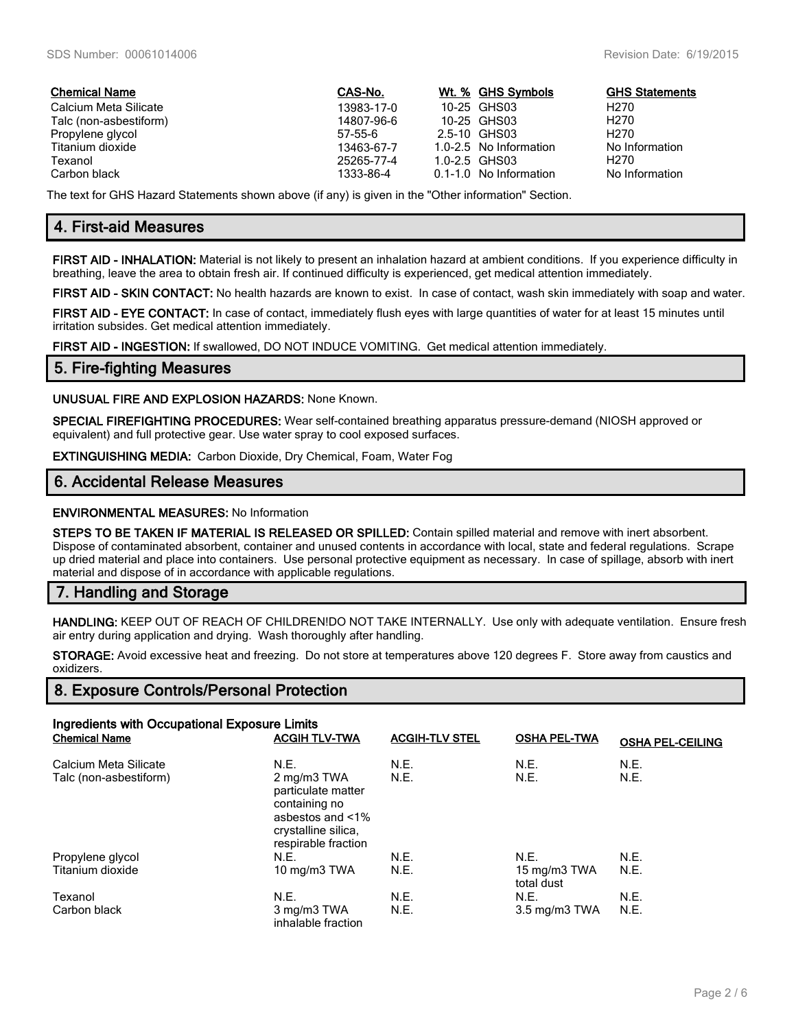| <b>Chemical Name</b>   | CAS-No.    | Wt. % GHS Symbols      | <b>GHS Statements</b> |
|------------------------|------------|------------------------|-----------------------|
| Calcium Meta Silicate  | 13983-17-0 | 10-25 GHS03            | H270                  |
| Talc (non-asbestiform) | 14807-96-6 | 10-25 GHS03            | H <sub>270</sub>      |
| Propylene glycol       | 57-55-6    | 2.5-10 GHS03           | H <sub>270</sub>      |
| Titanium dioxide       | 13463-67-7 | 1.0-2.5 No Information | No Information        |
| Texanol                | 25265-77-4 | $1.0 - 2.5$ GHS03      | H270                  |
| Carbon black           | 1333-86-4  | 0.1-1.0 No Information | No Information        |

The text for GHS Hazard Statements shown above (if any) is given in the "Other information" Section.

# 4. First-aid Measures

FIRST AID - INHALATION: Material is not likely to present an inhalation hazard at ambient conditions. If you experience difficulty in breathing, leave the area to obtain fresh air. If continued difficulty is experienced, get medical attention immediately.

FIRST AID - SKIN CONTACT: No health hazards are known to exist. In case of contact, wash skin immediately with soap and water.

FIRST AID - EYE CONTACT: In case of contact, immediately flush eyes with large quantities of water for at least 15 minutes until irritation subsides. Get medical attention immediately.

FIRST AID - INGESTION: If swallowed, DO NOT INDUCE VOMITING. Get medical attention immediately.

## 5. Fire-fighting Measures

UNUSUAL FIRE AND EXPLOSION HAZARDS: None Known.

SPECIAL FIREFIGHTING PROCEDURES: Wear self-contained breathing apparatus pressure-demand (NIOSH approved or equivalent) and full protective gear. Use water spray to cool exposed surfaces.

EXTINGUISHING MEDIA: Carbon Dioxide, Dry Chemical, Foam, Water Fog

## 6. Accidental Release Measures

### ENVIRONMENTAL MEASURES: No Information

STEPS TO BE TAKEN IF MATERIAL IS RELEASED OR SPILLED: Contain spilled material and remove with inert absorbent. Dispose of contaminated absorbent, container and unused contents in accordance with local, state and federal regulations. Scrape up dried material and place into containers. Use personal protective equipment as necessary. In case of spillage, absorb with inert material and dispose of in accordance with applicable regulations.

## 7. Handling and Storage

HANDLING: KEEP OUT OF REACH OF CHILDREN!DO NOT TAKE INTERNALLY. Use only with adequate ventilation. Ensure fresh air entry during application and drying. Wash thoroughly after handling.

STORAGE: Avoid excessive heat and freezing. Do not store at temperatures above 120 degrees F. Store away from caustics and oxidizers.

## 8. Exposure Controls/Personal Protection

| Ingredients with Occupational Exposure Limits   |                                                                                                                              |                       |                            |                         |  |
|-------------------------------------------------|------------------------------------------------------------------------------------------------------------------------------|-----------------------|----------------------------|-------------------------|--|
| <b>Chemical Name</b>                            | <b>ACGIH TLV-TWA</b>                                                                                                         | <b>ACGIH-TLV STEL</b> | <b>OSHA PEL-TWA</b>        | <b>OSHA PEL-CEILING</b> |  |
| Calcium Meta Silicate<br>Talc (non-asbestiform) | N.E.<br>2 mg/m3 TWA<br>particulate matter<br>containing no<br>asbestos and <1%<br>crystalline silica.<br>respirable fraction | N.E.<br>N.E.          | N.E.<br>N.E.               | N.E.<br>N.E.            |  |
| Propylene glycol                                | N.E.                                                                                                                         | N.E.                  | N.E.                       | N.E.                    |  |
| Titanium dioxide                                | 10 mg/m3 TWA                                                                                                                 | N.E.                  | 15 mg/m3 TWA<br>total dust | <b>N.E.</b>             |  |
| Texanol                                         | N.E.                                                                                                                         | N.E.                  | N.E.                       | N.E.                    |  |
| Carbon black                                    | 3 mg/m3 TWA<br>inhalable fraction                                                                                            | N.E.                  | 3.5 mg/m3 TWA              | N.E.                    |  |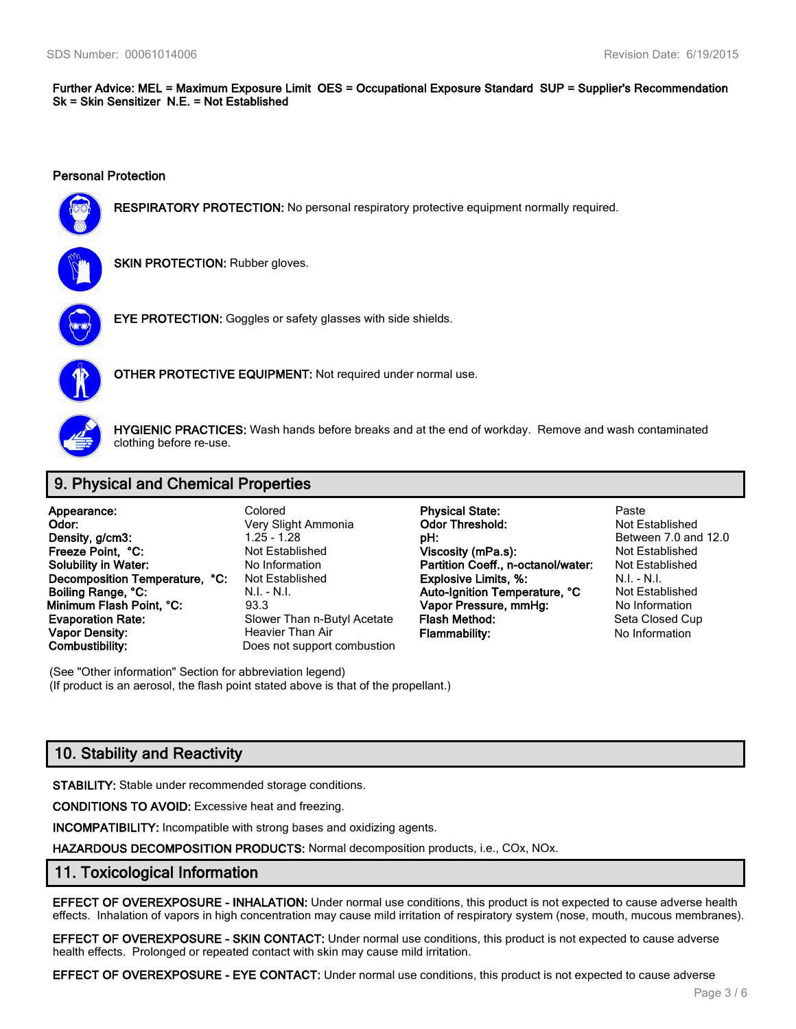Further Advice: MEL = Maximum Exposure Limit OES = Occupational Exposure Standard SUP = Supplier's Recommendation Sk = Skin Sensitizer N.E. = Not Established

#### Personal Protection



RESPIRATORY PROTECTION: No personal respiratory protective equipment normally required.



**SKIN PROTECTION: Rubber gloves.** 



EYE PROTECTION: Goggles or safety glasses with side shields.



OTHER PROTECTIVE EQUIPMENT: Not required under normal use.



HYGIENIC PRACTICES: Wash hands before breaks and at the end of workday. Remove and wash contaminated clothing before re-use.

# 9. Physical and Chemical Properties

| Appearance:                    | Colored                     | <b>Physical State:</b>             | Paste          |
|--------------------------------|-----------------------------|------------------------------------|----------------|
| Odor:                          | Very Slight Ammonia         | <b>Odor Threshold:</b>             | Not Establishe |
| Density, g/cm3:                | $1.25 - 1.28$               | pH:                                | Between 7.0 a  |
| Freeze Point. °C:              | Not Established             | Viscosity (mPa.s):                 | Not Establishe |
| <b>Solubility in Water:</b>    | No Information              | Partition Coeff., n-octanol/water: | Not Establishe |
| Decomposition Temperature, °C: | Not Established             | <b>Explosive Limits, %:</b>        | $N.I. - N.I.$  |
| Boiling Range, °C:             | $N.I. - N.I.$               | Auto-Ignition Temperature, °C      | Not Establishe |
| Minimum Flash Point, °C:       | 93.3                        | Vapor Pressure, mmHg:              | No Information |
| <b>Evaporation Rate:</b>       | Slower Than n-Butyl Acetate | Flash Method:                      | Seta Closed C  |
| Vapor Density:                 | Heavier Than Air            | <b>Flammability:</b>               | No Information |
| Combustibility:                | Does not support combustion |                                    |                |

**Physical State:** Paste Ammonia **Odor Threshold:** Not Established **pH: Density Between** 7.0 and 12.0 hed **Viscosity (mPa.s):** Not Established ion **Partition Coeff., n-octanol/water:** Not Established hed **Explosive Limits, %:** N.I. - N.I. - N.I.<br>Auto-Ignition Temperature, °C Not Established Auto-Ignition Temperature, °C Not Established<br>Vapor Pressure, mmHq: No Information Vapor Pressure, mmHg: n-Butyl Acetate Flash Method: Seta Closed Cup

(See "Other information" Section for abbreviation legend) (If product is an aerosol, the flash point stated above is that of the propellant.)

# 10. Stability and Reactivity

STABILITY: Stable under recommended storage conditions.

CONDITIONS TO AVOID: Excessive heat and freezing.

INCOMPATIBILITY: Incompatible with strong bases and oxidizing agents.

HAZARDOUS DECOMPOSITION PRODUCTS: Normal decomposition products, i.e., COx, NOx.

## 11. Toxicological Information

EFFECT OF OVEREXPOSURE - INHALATION: Under normal use conditions, this product is not expected to cause adverse health effects. Inhalation of vapors in high concentration may cause mild irritation of respiratory system (nose, mouth, mucous membranes).

EFFECT OF OVEREXPOSURE - SKIN CONTACT: Under normal use conditions, this product is not expected to cause adverse health effects. Prolonged or repeated contact with skin may cause mild irritation.

EFFECT OF OVEREXPOSURE - EYE CONTACT: Under normal use conditions, this product is not expected to cause adverse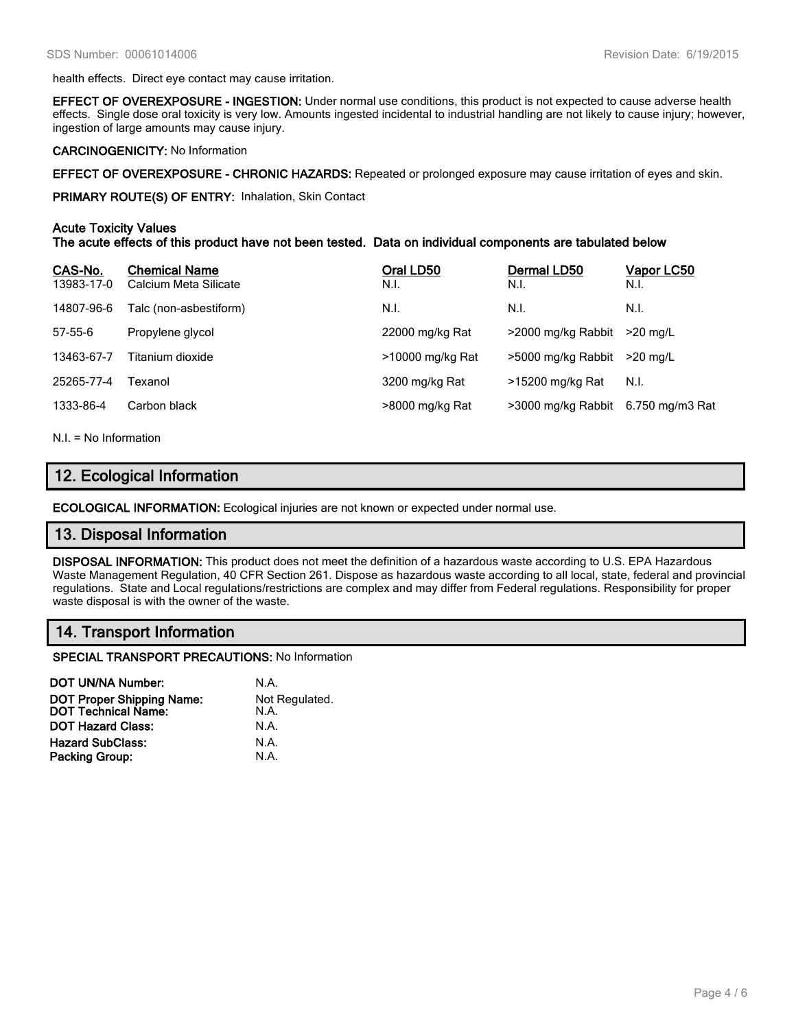health effects. Direct eye contact may cause irritation.

EFFECT OF OVEREXPOSURE - INGESTION: Under normal use conditions, this product is not expected to cause adverse health effects. Single dose oral toxicity is very low. Amounts ingested incidental to industrial handling are not likely to cause injury; however, ingestion of large amounts may cause injury.

#### CARCINOGENICITY: No Information

EFFECT OF OVEREXPOSURE - CHRONIC HAZARDS: Repeated or prolonged exposure may cause irritation of eyes and skin.

PRIMARY ROUTE(S) OF ENTRY: Inhalation, Skin Contact

### Acute Toxicity Values

The acute effects of this product have not been tested. Data on individual components are tabulated below

| CAS-No.<br>13983-17-0 | <b>Chemical Name</b><br>Calcium Meta Silicate | Oral LD50<br>N.I. | Dermal LD50<br>N.I. | Vapor LC50<br>N.I. |
|-----------------------|-----------------------------------------------|-------------------|---------------------|--------------------|
| 14807-96-6            | Talc (non-asbestiform)                        | N.I.              | N.I.                | N.I.               |
| $57 - 55 - 6$         | Propylene glycol                              | 22000 mg/kg Rat   | >2000 mg/kg Rabbit  | $>20$ ma/L         |
| 13463-67-7            | Titanium dioxide                              | >10000 mg/kg Rat  | >5000 mg/kg Rabbit  | $>20$ ma/L         |
| 25265-77-4            | Texanol                                       | 3200 mg/kg Rat    | >15200 mg/kg Rat    | N.I.               |
| 1333-86-4             | Carbon black                                  | >8000 mg/kg Rat   | >3000 mg/kg Rabbit  | 6.750 mg/m3 Rat    |
|                       |                                               |                   |                     |                    |

N.I. = No Information

# 12. Ecological Information

ECOLOGICAL INFORMATION: Ecological injuries are not known or expected under normal use.

## 13. Disposal Information

DISPOSAL INFORMATION: This product does not meet the definition of a hazardous waste according to U.S. EPA Hazardous Waste Management Regulation, 40 CFR Section 261. Dispose as hazardous waste according to all local, state, federal and provincial regulations. State and Local regulations/restrictions are complex and may differ from Federal regulations. Responsibility for proper waste disposal is with the owner of the waste.

# 14. Transport Information

SPECIAL TRANSPORT PRECAUTIONS: No Information

| <b>DOT UN/NA Number:</b>                                       | N.A.                   |
|----------------------------------------------------------------|------------------------|
| <b>DOT Proper Shipping Name:</b><br><b>DOT Technical Name:</b> | Not Regulated.<br>N.A. |
| <b>DOT Hazard Class:</b>                                       | N.A.                   |
| <b>Hazard SubClass:</b>                                        | N.A.                   |
| <b>Packing Group:</b>                                          | N.A.                   |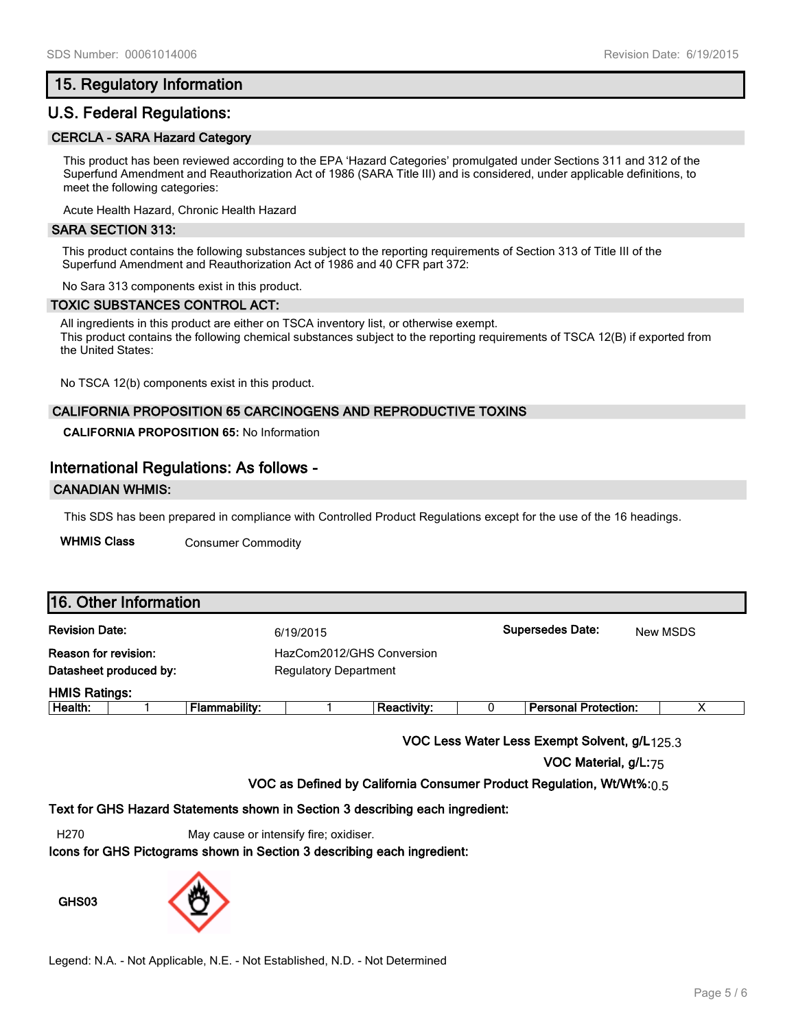## 15. Regulatory Information

## U.S. Federal Regulations:

### CERCLA - SARA Hazard Category

This product has been reviewed according to the EPA 'Hazard Categories' promulgated under Sections 311 and 312 of the Superfund Amendment and Reauthorization Act of 1986 (SARA Title III) and is considered, under applicable definitions, to meet the following categories:

Acute Health Hazard, Chronic Health Hazard

#### SARA SECTION 313:

This product contains the following substances subject to the reporting requirements of Section 313 of Title III of the Superfund Amendment and Reauthorization Act of 1986 and 40 CFR part 372:

No Sara 313 components exist in this product.

#### TOXIC SUBSTANCES CONTROL ACT:

All ingredients in this product are either on TSCA inventory list, or otherwise exempt. This product contains the following chemical substances subject to the reporting requirements of TSCA 12(B) if exported from the United States:

No TSCA 12(b) components exist in this product.

### CALIFORNIA PROPOSITION 65 CARCINOGENS AND REPRODUCTIVE TOXINS

**CALIFORNIA PROPOSITION 65:** No Information

## International Regulations: As follows -

### CANADIAN WHMIS:

This SDS has been prepared in compliance with Controlled Product Regulations except for the use of the 16 headings.

WHMIS Class Consumer Commodity

| 16. Other Information                                 |  |                                                           |           |                    |  |                             |          |  |
|-------------------------------------------------------|--|-----------------------------------------------------------|-----------|--------------------|--|-----------------------------|----------|--|
| <b>Revision Date:</b>                                 |  |                                                           | 6/19/2015 |                    |  | <b>Supersedes Date:</b>     | New MSDS |  |
| <b>Reason for revision:</b><br>Datasheet produced by: |  | HazCom2012/GHS Conversion<br><b>Regulatory Department</b> |           |                    |  |                             |          |  |
| <b>HMIS Ratings:</b>                                  |  |                                                           |           |                    |  |                             |          |  |
| Health:                                               |  | <b>Flammability:</b>                                      |           | <b>Reactivity:</b> |  | <b>Personal Protection:</b> | х        |  |
|                                                       |  |                                                           |           |                    |  |                             |          |  |

VOC Less Water Less Exempt Solvent, g/L125.3

VOC Material, g/L:75

VOC as Defined by California Consumer Product Regulation, Wt/Wt%: $0.5$ 

Text for GHS Hazard Statements shown in Section 3 describing each ingredient:

H270 May cause or intensify fire; oxidiser.

Icons for GHS Pictograms shown in Section 3 describing each ingredient:

GHS03